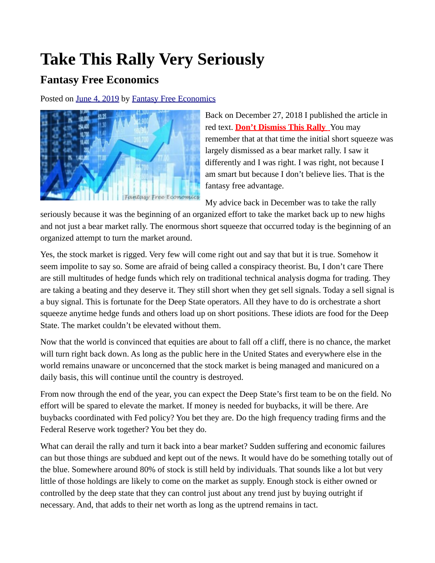## **Take This Rally Very Seriously**

## **Fantasy Free Economics**

Posted on [June 4, 2019](http://quillian.net/blog/?p=6414) by [Fantasy Free Economics](http://quillian.net/blog/author/james-quillian/)



Back on December 27, 2018 I published the article in red text. **[Don't Dismiss This Rally](http://quillian.net/blog/dont-dismiss-this-rally/)** You may remember that at that time the initial short squeeze was largely dismissed as a bear market rally. I saw it differently and I was right. I was right, not because I am smart but because I don't believe lies. That is the fantasy free advantage.

My advice back in December was to take the rally

seriously because it was the beginning of an organized effort to take the market back up to new highs and not just a bear market rally. The enormous short squeeze that occurred today is the beginning of an organized attempt to turn the market around.

Yes, the stock market is rigged. Very few will come right out and say that but it is true. Somehow it seem impolite to say so. Some are afraid of being called a conspiracy theorist. Bu, I don't care There are still multitudes of hedge funds which rely on traditional technical analysis dogma for trading. They are taking a beating and they deserve it. They still short when they get sell signals. Today a sell signal is a buy signal. This is fortunate for the Deep State operators. All they have to do is orchestrate a short squeeze anytime hedge funds and others load up on short positions. These idiots are food for the Deep State. The market couldn't be elevated without them.

Now that the world is convinced that equities are about to fall off a cliff, there is no chance, the market will turn right back down. As long as the public here in the United States and everywhere else in the world remains unaware or unconcerned that the stock market is being managed and manicured on a daily basis, this will continue until the country is destroyed.

From now through the end of the year, you can expect the Deep State's first team to be on the field. No effort will be spared to elevate the market. If money is needed for buybacks, it will be there. Are buybacks coordinated with Fed policy? You bet they are. Do the high frequency trading firms and the Federal Reserve work together? You bet they do.

What can derail the rally and turn it back into a bear market? Sudden suffering and economic failures can but those things are subdued and kept out of the news. It would have do be something totally out of the blue. Somewhere around 80% of stock is still held by individuals. That sounds like a lot but very little of those holdings are likely to come on the market as supply. Enough stock is either owned or controlled by the deep state that they can control just about any trend just by buying outright if necessary. And, that adds to their net worth as long as the uptrend remains in tact.